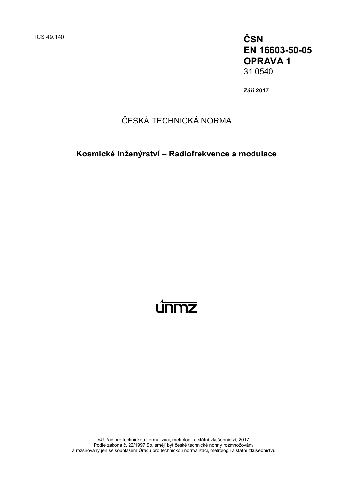ICS 49.140 **ČSN EN 16603-50-05 OPRAVA 1** 31 0540

**Září 2017**

# ČESKÁ TECHNICKÁ NORMA

**Kosmické inženýrství – Radiofrekvence a modulace**



© Úřad pro technickou normalizaci, metrologii a státní zkušebnictví, 2017 Podle zákona č. 22/1997 Sb. smějí být české technické normy rozmnožovány a rozšiřovány jen se souhlasem Úřadu pro technickou normalizaci, metrologii a státní zkušebnictví.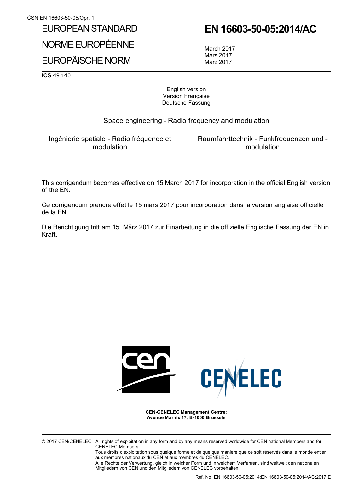## EUROPEAN STANDARD

NORME EUROPÉENNE

## EUROPÄISCHE NORM

**EN 16603-50-05:2014/AC**

March 2017 Mars 2017 März 2017

**ICS** 49.140

English version Version Française Deutsche Fassung

Space engineering - Radio frequency and modulation

Ingénierie spatiale - Radio fréquence et modulation

Raumfahrttechnik - Funkfrequenzen und modulation

This corrigendum becomes effective on 15 March 2017 for incorporation in the official English version of the EN.

Ce corrigendum prendra effet le 15 mars 2017 pour incorporation dans la version anglaise officielle de la EN.

Die Berichtigung tritt am 15. März 2017 zur Einarbeitung in die offizielle Englische Fassung der EN in Kraft.



**CEN-CENELEC Management Centre: Avenue Marnix 17, B-1000 Brussels**

© 2017 CEN/CENELEC All rights of exploitation in any form and by any means reserved worldwide for CEN national Members and for CENELEC Members.

Tous droits d'exploitation sous quelque forme et de quelque manière que ce soit réservés dans le monde entier aux membres nationaux du CEN et aux membres du CENELEC.

Alle Rechte der Verwertung, gleich in welcher Form und in welchem Verfahren, sind weltweit den nationalen Mitgliedern von CEN und den Mitgliedern von CENELEC vorbehalten.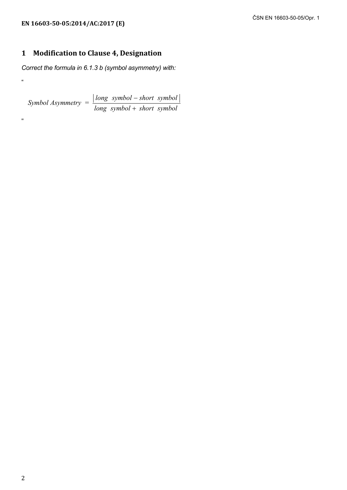"

"

### **1 Modification to Clause 4, Designation**

*Correct the formula in 6.1.3 b (symbol asymmetry) with:* 

<sup>=</sup> *long symbol short symbol Symbol Asymmetry long symbol short symbol* − +